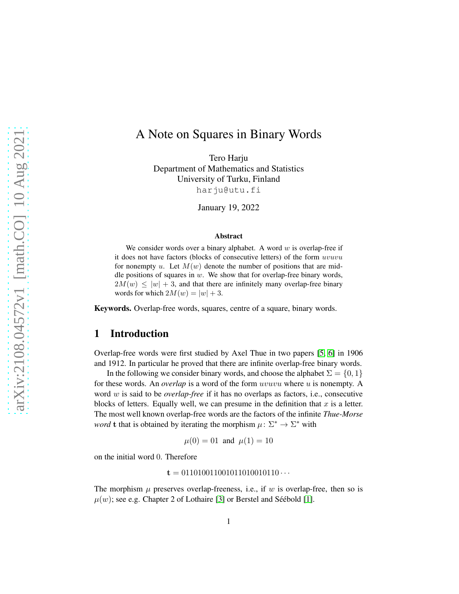# A Note on Squares in Binary Words

Tero Harju Department of Mathematics and Statistics University of Turku, Finland harju@utu.fi

January 19, 2022

#### Abstract

We consider words over a binary alphabet. A word  $w$  is overlap-free if it does not have factors (blocks of consecutive letters) of the form uvuvu for nonempty u. Let  $M(w)$  denote the number of positions that are middle positions of squares in  $w$ . We show that for overlap-free binary words,  $2M(w) \leq |w| + 3$ , and that there are infinitely many overlap-free binary words for which  $2M(w) = |w| + 3$ .

Keywords. Overlap-free words, squares, centre of a square, binary words.

### 1 Introduction

Overlap-free words were first studied by Axel Thue in two papers [\[5,](#page-5-0) [6\]](#page-5-1) in 1906 and 1912. In particular he proved that there are infinite overlap-free binary words.

In the following we consider binary words, and choose the alphabet  $\Sigma = \{0, 1\}$ for these words. An *overlap* is a word of the form uvuvu where u is nonempty. A word w is said to be *overlap-free* if it has no overlaps as factors, i.e., consecutive blocks of letters. Equally well, we can presume in the definition that  $x$  is a letter. The most well known overlap-free words are the factors of the infinite *Thue-Morse word* **t** that is obtained by iterating the morphism  $\mu : \Sigma^* \to \Sigma^*$  with

$$
\mu(0) = 01
$$
 and  $\mu(1) = 10$ 

on the initial word 0. Therefore

 $t = 011010011001011010010110...$ 

The morphism  $\mu$  preserves overlap-freeness, i.e., if w is overlap-free, then so is  $\mu(w)$ ; see e.g. Chapter 2 of Lothaire [\[3\]](#page-5-2) or Berstel and Séébold [\[1\]](#page-5-3).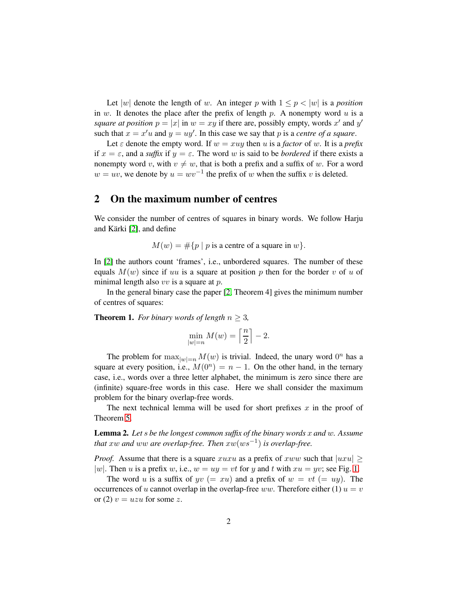Let |w| denote the length of w. An integer p with  $1 \leq p \leq |w|$  is a *position* in  $w$ . It denotes the place after the prefix of length  $p$ . A nonempty word  $u$  is a *square at position*  $p = |x|$  in  $w = xy$  if there are, possibly empty, words x' and y' such that  $x = x'u$  and  $y = uy'$ . In this case we say that p is a *centre of a square*.

Let  $\varepsilon$  denote the empty word. If  $w = xuy$  then u is a *factor* of w. It is a *prefix* if  $x = \varepsilon$ , and a *suffix* if  $y = \varepsilon$ . The word w is said to be *bordered* if there exists a nonempty word v, with  $v \neq w$ , that is both a prefix and a suffix of w. For a word  $w = uv$ , we denote by  $u = wv^{-1}$  the prefix of w when the suffix v is deleted.

### 2 On the maximum number of centres

We consider the number of centres of squares in binary words. We follow Harju and Kärki [\[2\]](#page-5-4), and define

 $M(w) = \#\{p \mid p \text{ is a centre of a square in } w\}.$ 

In [\[2\]](#page-5-4) the authors count 'frames', i.e., unbordered squares. The number of these equals  $M(w)$  since if uu is a square at position p then for the border v of u of minimal length also  $vv$  is a square at  $p$ .

In the general binary case the paper [\[2,](#page-5-4) Theorem 4] gives the minimum number of centres of squares:

**Theorem 1.** *For binary words of length*  $n \geq 3$ *,* 

$$
\min_{|w|=n} M(w) = \left\lceil \frac{n}{2} \right\rceil - 2.
$$

The problem for  $\max_{|w|=n} M(w)$  is trivial. Indeed, the unary word  $0^n$  has a square at every position, i.e.,  $M(0^n) = n - 1$ . On the other hand, in the ternary case, i.e., words over a three letter alphabet, the minimum is zero since there are (infinite) square-free words in this case. Here we shall consider the maximum problem for the binary overlap-free words.

The next technical lemma will be used for short prefixes  $x$  in the proof of Theorem [5.](#page-4-0)

<span id="page-1-0"></span>Lemma 2. *Let* s *be the longest common suffix of the binary words* x *and* w*. Assume that* xw *and* ww *are overlap-free. Then* xw(ws−<sup>1</sup> ) *is overlap-free.*

*Proof.* Assume that there is a square xuxu as a prefix of xww such that  $|uxu|$ |w|. Then u is a prefix w, i.e.,  $w = uy = vt$  for y and t with  $xu = yv$ ; see Fig. [1.](#page-2-0)

The word u is a suffix of  $yv (= xu)$  and a prefix of  $w = vt (= uy)$ . The occurrences of u cannot overlap in the overlap-free ww. Therefore either (1)  $u = v$ or (2)  $v = uzu$  for some z.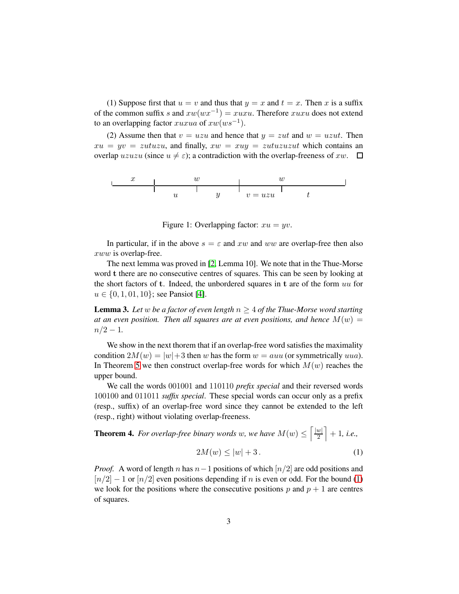(1) Suppose first that  $u = v$  and thus that  $y = x$  and  $t = x$ . Then x is a suffix of the common suffix s and  $xw(wx^{-1}) = xuxu$ . Therefore  $xuxu$  does not extend to an overlapping factor  $xuxua$  of  $xw(ws^{-1})$ .

(2) Assume then that  $v = uzu$  and hence that  $y = zut$  and  $w = uzut$ . Then  $xu = yv = zutuzu$ , and finally,  $xw = xuu = zutuzuzut$  which contains an overlap uzuzu (since  $u \neq \varepsilon$ ); a contradiction with the overlap-freeness of xw.  $\square$ 

x w w u y v = uzu t

<span id="page-2-0"></span>Figure 1: Overlapping factor:  $xu = yv$ .

In particular, if in the above  $s = \varepsilon$  and xw and ww are overlap-free then also xww is overlap-free.

The next lemma was proved in [\[2,](#page-5-4) Lemma 10]. We note that in the Thue-Morse word t there are no consecutive centres of squares. This can be seen by looking at the short factors of  $t$ . Indeed, the unbordered squares in  $t$  are of the form  $uu$  for  $u \in \{0, 1, 01, 10\}$ ; see Pansiot [\[4\]](#page-5-5).

<span id="page-2-3"></span>**Lemma 3.** Let w be a factor of even length  $n \geq 4$  of the Thue-Morse word starting *at an even position. Then all squares are at even positions, and hence*  $M(w)$  =  $n/2 - 1$ .

We show in the next thorem that if an overlap-free word satisfies the maximality condition  $2M(w) = |w| + 3$  then w has the form  $w = auu$  (or symmetrically uua). In Theorem [5](#page-4-0) we then construct overlap-free words for which  $M(w)$  reaches the upper bound.

We call the words 001001 and 110110 *prefix special* and their reversed words 100100 and 011011 *suffix special*. These special words can occur only as a prefix (resp., suffix) of an overlap-free word since they cannot be extended to the left (resp., right) without violating overlap-freeness.

<span id="page-2-2"></span><span id="page-2-1"></span>**Theorem 4.** For overlap-free binary words w, we have  $M(w) \leq \left[\frac{|w|}{2}\right]$  $\frac{w}{2}$  + 1*, i.e.*,  $2M(w) \le |w| + 3$ . (1)

*Proof.* A word of length n has  $n-1$  positions of which  $\lfloor n/2 \rfloor$  are odd positions and  $[n/2] - 1$  or  $[n/2]$  even positions depending if n is even or odd. For the bound [\(1\)](#page-2-1) we look for the positions where the consecutive positions p and  $p + 1$  are centres of squares.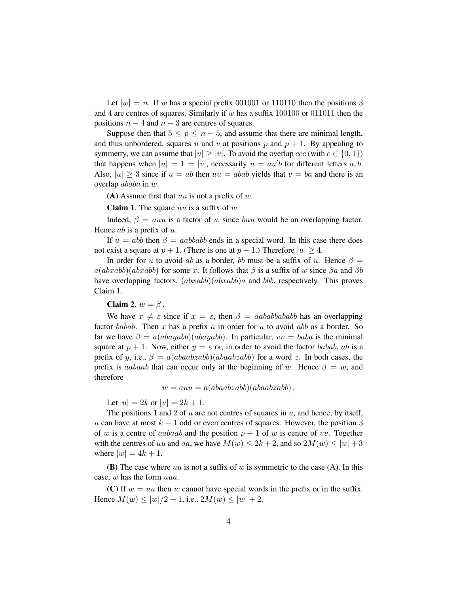Let  $|w| = n$ . If w has a special prefix 001001 or 110110 then the positions 3 and 4 are centres of squares. Similarly if  $w$  has a suffix 100100 or 011011 then the positions  $n - 4$  and  $n - 3$  are centres of squares.

Suppose then that  $5 \le p \le n-5$ , and assume that there are minimal length, and thus unbordered, squares u and v at positions p and  $p + 1$ . By appealing to symmetry, we can assume that  $|u| > |v|$ . To avoid the overlap  $ccc$  (with  $c \in \{0, 1\}$ ) that happens when  $|u| = 1 = |v|$ , necessarily  $u = au'b$  for different letters a, b. Also,  $|u| > 3$  since if  $u = ab$  then  $uu = abab$  yields that  $v = ba$  and there is an overlap ababa in w.

(A) Assume first that uu is not a prefix of  $w$ .

**Claim 1.** The square uu is a suffix of  $w$ .

Indeed,  $\beta = auu$  is a factor of w since buu would be an overlapping factor. Hence  $ab$  is a prefix of  $u$ .

If  $u = abb$  then  $\beta = aabbabb$  ends in a special word. In this case there does not exist a square at  $p + 1$ . (There is one at  $p - 1$ .) Therefore  $|u| \geq 4$ .

In order for u to avoid ab as a border, bb must be a suffix of u. Hence  $\beta =$  $a(abxabb)(abxabb)$  for some x. It follows that  $\beta$  is a suffix of w since  $\beta a$  and  $\beta b$ have overlapping factors,  $(abxabb)(abxabb)a$  and bbb, respectively. This proves Claim 1.

#### Claim 2.  $w = \beta$ .

We have  $x \neq \varepsilon$  since if  $x = \varepsilon$ , then  $\beta = aababbababb$  has an overlapping factor babab. Then x has a prefix a in order for u to avoid abb as a border. So far we have  $\beta = a(abayabb)(abayabb)$ . In particular,  $vv = baba$  is the minimal square at  $p + 1$ . Now, either  $y = \varepsilon$  or, in order to avoid the factor babab, ab is a prefix of y, i.e.,  $\beta = a(abaabzabb)(abaabzabb)$  for a word z. In both cases, the prefix is aabaab that can occur only at the beginning of w. Hence  $\beta = w$ , and therefore

$$
w = auu = a(abaabzabb)(abaabzabb).
$$

Let  $|u| = 2k$  or  $|u| = 2k + 1$ .

The positions 1 and 2 of u are not centres of squares in  $u$ , and hence, by itself, u can have at most  $k - 1$  odd or even centres of squares. However, the position 3 of w is a centre of *aabaab* and the position  $p + 1$  of w is centre of vv. Together with the centres of uu and aa, we have  $M(w) \leq 2k + 2$ , and so  $2M(w) \leq |w| + 3$ where  $|w| = 4k + 1$ .

**(B)** The case where uu is not a suffix of w is symmetric to the case (A). In this case, w has the form uua.

(C) If  $w = uu$  then w cannot have special words in the prefix or in the suffix. Hence  $M(w) \le |w|/2 + 1$ , i.e.,  $2M(w) \le |w| + 2$ .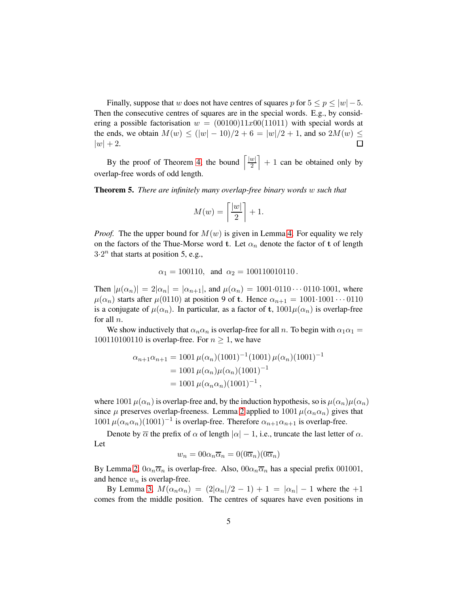Finally, suppose that w does not have centres of squares p for  $5 \le p \le |w|-5$ . Then the consecutive centres of squares are in the special words. E.g., by considering a possible factorisation  $w = (00100)11x00(11011)$  with special words at the ends, we obtain  $M(w) \le (|w| - 10)/2 + 6 = |w|/2 + 1$ , and so  $2M(w) \le$  $|w| + 2.$  $\Box$ 

By the proof of Theorem [4,](#page-2-2) the bound  $\sqrt{\frac{|w|}{2}}$  $\left[\frac{w}{2}\right] + 1$  can be obtained only by overlap-free words of odd length.

<span id="page-4-0"></span>Theorem 5. *There are infinitely many overlap-free binary words* w *such that*

$$
M(w) = \left\lceil \frac{|w|}{2} \right\rceil + 1.
$$

*Proof.* The the upper bound for  $M(w)$  is given in Lemma [4.](#page-2-2) For equality we rely on the factors of the Thue-Morse word t. Let  $\alpha_n$  denote the factor of t of length  $3.2<sup>n</sup>$  that starts at position 5, e.g.,

$$
\alpha_1 = 100110
$$
, and  $\alpha_2 = 100110010110$ .

Then  $|\mu(\alpha_n)| = 2|\alpha_n| = |\alpha_{n+1}|$ , and  $\mu(\alpha_n) = 1001 \cdot 0110 \cdot \cdot \cdot 0110 \cdot 1001$ , where  $\mu(\alpha_n)$  starts after  $\mu(0110)$  at position 9 of t. Hence  $\alpha_{n+1} = 1001 \cdot 1001 \cdots 0110$ is a conjugate of  $\mu(\alpha_n)$ . In particular, as a factor of t,  $1001\mu(\alpha_n)$  is overlap-free for all n.

We show inductively that  $\alpha_n \alpha_n$  is overlap-free for all n. To begin with  $\alpha_1 \alpha_1 =$ 100110100110 is overlap-free. For  $n \geq 1$ , we have

$$
\alpha_{n+1}\alpha_{n+1} = 1001 \,\mu(\alpha_n)(1001)^{-1}(1001)\,\mu(\alpha_n)(1001)^{-1}
$$
  
= 1001 \,\mu(\alpha\_n)\mu(\alpha\_n)(1001)^{-1}  
= 1001 \,\mu(\alpha\_n\alpha\_n)(1001)^{-1},

where 1001  $\mu(\alpha_n)$  is overlap-free and, by the induction hypothesis, so is  $\mu(\alpha_n)\mu(\alpha_n)$ since  $\mu$  preserves overlap-freeness. Lemma [2](#page-1-0) applied to 1001  $\mu(\alpha_n \alpha_n)$  gives that  $1001 \mu (\alpha_n \alpha_n) (1001)^{-1}$  is overlap-free. Therefore  $\alpha_{n+1} \alpha_{n+1}$  is overlap-free.

Denote by  $\overline{\alpha}$  the prefix of  $\alpha$  of length  $|\alpha| - 1$ , i.e., truncate the last letter of  $\alpha$ . Let

$$
w_n = 00\alpha_n \overline{\alpha}_n = 0(0\overline{\alpha}_n)(0\overline{\alpha}_n)
$$

By Lemma [2,](#page-1-0)  $0\alpha_n\overline{\alpha}_n$  is overlap-free. Also,  $00\alpha_n\overline{\alpha}_n$  has a special prefix 001001, and hence  $w_n$  is overlap-free.

By Lemma [3,](#page-2-3)  $M(\alpha_n \alpha_n) = (2|\alpha_n|/2 - 1) + 1 = |\alpha_n| - 1$  where the  $+1$ comes from the middle position. The centres of squares have even positions in